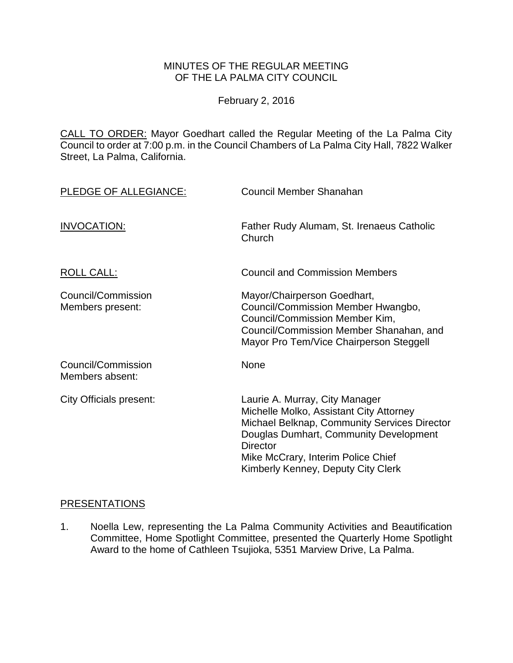# MINUTES OF THE REGULAR MEETING OF THE LA PALMA CITY COUNCIL

February 2, 2016

CALL TO ORDER: [Mayor Goedhart called the Regular Meeting of the La Palma City](http://lapalma.granicus.com/MediaPlayer.php?view_id=&clip_id=968&meta_id=129274)  [Council to order at 7:00 p.m. in the Council Chambers of La Palma City Hall, 7822 Walker](http://lapalma.granicus.com/MediaPlayer.php?view_id=&clip_id=968&meta_id=129274)  [Street, La Palma, California.](http://lapalma.granicus.com/MediaPlayer.php?view_id=&clip_id=968&meta_id=129274)

| PLEDGE OF ALLEGIANCE:                  | Council Member Shanahan                                                                                                                                                                                                                                            |
|----------------------------------------|--------------------------------------------------------------------------------------------------------------------------------------------------------------------------------------------------------------------------------------------------------------------|
| INVOCATION:                            | Father Rudy Alumam, St. Irenaeus Catholic<br>Church                                                                                                                                                                                                                |
| <b>ROLL CALL:</b>                      | <b>Council and Commission Members</b>                                                                                                                                                                                                                              |
| Council/Commission<br>Members present: | Mayor/Chairperson Goedhart,<br>Council/Commission Member Hwangbo,<br>Council/Commission Member Kim,<br>Council/Commission Member Shanahan, and<br>Mayor Pro Tem/Vice Chairperson Steggell                                                                          |
| Council/Commission<br>Members absent:  | None                                                                                                                                                                                                                                                               |
| <b>City Officials present:</b>         | Laurie A. Murray, City Manager<br>Michelle Molko, Assistant City Attorney<br>Michael Belknap, Community Services Director<br>Douglas Dumhart, Community Development<br><b>Director</b><br>Mike McCrary, Interim Police Chief<br>Kimberly Kenney, Deputy City Clerk |

# [PRESENTATIONS](http://lapalma.granicus.com/MediaPlayer.php?view_id=&clip_id=968&meta_id=129167)

1. Noella Lew, [representing the La Palma Community Activities and Beautification](http://lapalma.granicus.com/MediaPlayer.php?view_id=&clip_id=968&meta_id=129168)  Committee, Home Spotlight Committee, [presented the Quarterly Home Spotlight](http://lapalma.granicus.com/MediaPlayer.php?view_id=&clip_id=968&meta_id=129168)  Award to the home of [Cathleen Tsujioka, 5351 Marview Drive, La Palma.](http://lapalma.granicus.com/MediaPlayer.php?view_id=&clip_id=968&meta_id=129168)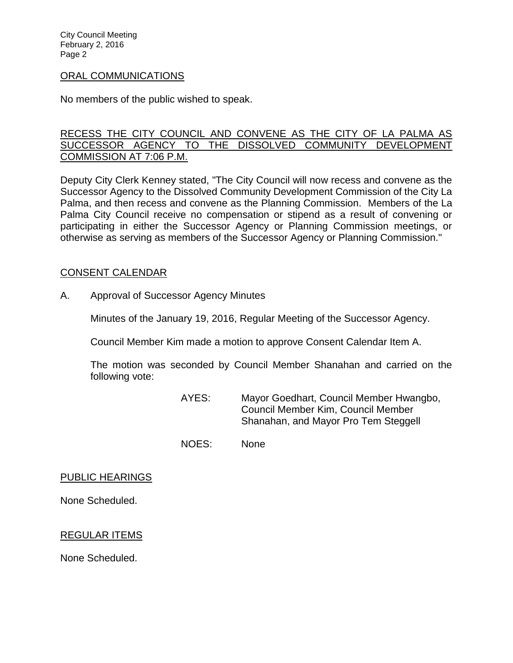City Council Meeting February 2, 2016 Page 2

#### [ORAL COMMUNICATIONS](http://lapalma.granicus.com/MediaPlayer.php?view_id=&clip_id=968&meta_id=129170)

No members of the public wished to speak.

### [RECESS THE CITY COUNCIL AND CONVENE AS THE CITY OF LA PALMA AS](http://lapalma.granicus.com/MediaPlayer.php?view_id=&clip_id=968&meta_id=129172)  [SUCCESSOR AGENCY TO THE DISSOLVED COMMUNITY DEVELOPMENT](http://lapalma.granicus.com/MediaPlayer.php?view_id=&clip_id=968&meta_id=129172)  [COMMISSION AT 7:06 P.M.](http://lapalma.granicus.com/MediaPlayer.php?view_id=&clip_id=968&meta_id=129172)

Deputy City Clerk Kenney stated, "The City Council will now recess and convene as the Successor Agency to the Dissolved Community Development Commission of the City La Palma, and then recess and convene as the Planning Commission. Members of the La Palma City Council receive no compensation or stipend as a result of convening or participating in either the Successor Agency or Planning Commission meetings, or otherwise as serving as members of the Successor Agency or Planning Commission."

#### [CONSENT CALENDAR](http://lapalma.granicus.com/MediaPlayer.php?view_id=&clip_id=968&meta_id=129174)

A. [Approval of Successor Agency Minutes](http://lapalma.granicus.com/MediaPlayer.php?view_id=&clip_id=968&meta_id=129175)

Minutes of the January 19, 2016, Regular Meeting of the Successor Agency.

Council Member Kim made a motion to approve Consent Calendar Item A.

The motion was seconded by Council Member Shanahan and carried on the following vote:

- AYES: Mayor Goedhart, Council Member Hwangbo, Council Member Kim, Council Member Shanahan, and Mayor Pro Tem Steggell
- NOES: None

#### PUBLIC HEARINGS

None Scheduled.

# REGULAR ITEMS

None Scheduled.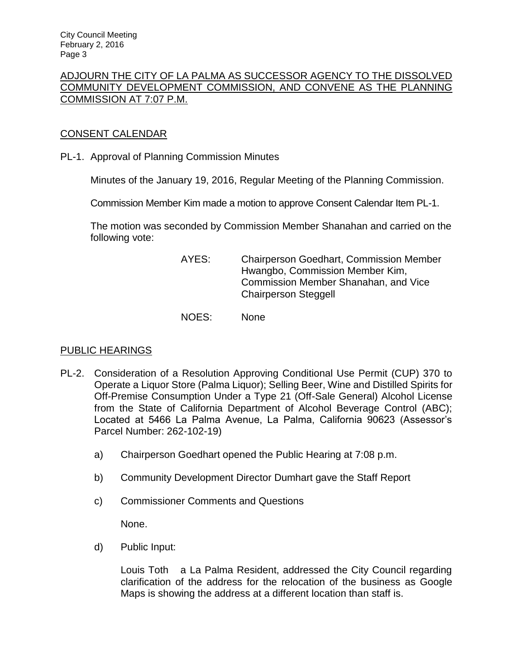# [ADJOURN THE CITY OF LA PALMA AS SUCCESSOR AGENCY TO THE DISSOLVED](http://lapalma.granicus.com/MediaPlayer.php?view_id=&clip_id=968&meta_id=129177)  [COMMUNITY DEVELOPMENT COMMISSION, AND CONVENE AS THE PLANNING](http://lapalma.granicus.com/MediaPlayer.php?view_id=&clip_id=968&meta_id=129177)  [COMMISSION AT 7:07 P.M.](http://lapalma.granicus.com/MediaPlayer.php?view_id=&clip_id=968&meta_id=129177)

# [CONSENT CALENDAR](http://lapalma.granicus.com/MediaPlayer.php?view_id=&clip_id=968&meta_id=129178)

PL-1. Approval of Planning Commission Minutes

Minutes of the January 19, 2016, Regular Meeting of the Planning Commission.

Commission Member Kim made a motion to approve Consent Calendar Item PL-1.

The motion was seconded by Commission Member Shanahan and carried on the following vote:

| AYES: | <b>Chairperson Goedhart, Commission Member</b> |
|-------|------------------------------------------------|
|       | Hwangbo, Commission Member Kim,                |
|       | Commission Member Shanahan, and Vice           |
|       | <b>Chairperson Steggell</b>                    |
|       |                                                |

NOES: None

# [PUBLIC HEARINGS](http://lapalma.granicus.com/MediaPlayer.php?view_id=&clip_id=968&meta_id=129181)

- PL-2. Consideration of a Resolution Approving Conditional Use Permit (CUP) 370 to Operate a Liquor Store (Palma Liquor); Selling Beer, Wine and Distilled Spirits for Off-Premise Consumption Under a Type 21 (Off-Sale General) Alcohol License from the State of California Department of Alcohol Beverage Control (ABC); Located at 5466 La Palma Avenue, La Palma, California 90623 (Assessor's Parcel Number: 262-102-19)
	- a) [Chairperson Goedhart opened the Public Hearing at 7:08 p.m.](http://lapalma.granicus.com/MediaPlayer.php?view_id=&clip_id=968&meta_id=129183)
	- b) [Community Development Director Dumhart gave the Staff Report](http://lapalma.granicus.com/MediaPlayer.php?view_id=&clip_id=968&meta_id=129184)
	- c) [Commissioner Comments and Questions](http://lapalma.granicus.com/MediaPlayer.php?view_id=&clip_id=968&meta_id=129185)

None.

d) [Public Input:](http://lapalma.granicus.com/MediaPlayer.php?view_id=&clip_id=968&meta_id=129186)

Louis Toth a La Palma Resident, addressed the City Council regarding clarification of the address for the relocation of the business as Google Maps is showing the address at a different location than staff is.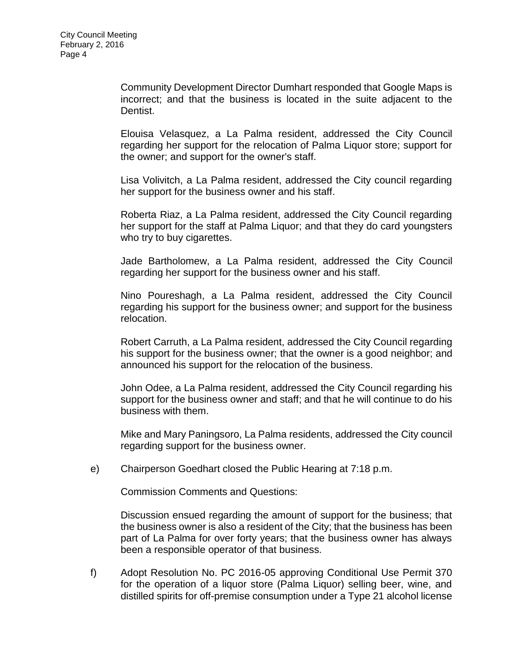Community Development Director Dumhart responded that Google Maps is incorrect; and that the business is located in the suite adjacent to the Dentist.

Elouisa Velasquez, a La Palma resident, addressed the City Council regarding her support for the relocation of Palma Liquor store; support for the owner; and support for the owner's staff.

Lisa Volivitch, a La Palma resident, addressed the City council regarding her support for the business owner and his staff.

Roberta Riaz, a La Palma resident, addressed the City Council regarding her support for the staff at Palma Liquor; and that they do card youngsters who try to buy cigarettes.

Jade Bartholomew, a La Palma resident, addressed the City Council regarding her support for the business owner and his staff.

Nino Poureshagh, a La Palma resident, addressed the City Council regarding his support for the business owner; and support for the business relocation.

Robert Carruth, a La Palma resident, addressed the City Council regarding his support for the business owner; that the owner is a good neighbor; and announced his support for the relocation of the business.

John Odee, a La Palma resident, addressed the City Council regarding his support for the business owner and staff; and that he will continue to do his business with them.

Mike and Mary Paningsoro, La Palma residents, addressed the City council regarding support for the business owner.

e) [Chairperson Goedhart closed the Public Hearing at 7:18 p.m.](http://lapalma.granicus.com/MediaPlayer.php?view_id=&clip_id=968&meta_id=129187)

Commission Comments and Questions:

Discussion ensued regarding the amount of support for the business; that the business owner is also a resident of the City; that the business has been part of La Palma for over forty years; that the business owner has always been a responsible operator of that business.

f) [Adopt Resolution No. PC 2016-05 approving Conditional Use Permit 370](http://lapalma.granicus.com/MediaPlayer.php?view_id=&clip_id=968&meta_id=129188)  [for the operation of a liquor store \(Palma Liquor\) selling beer, wine, and](http://lapalma.granicus.com/MediaPlayer.php?view_id=&clip_id=968&meta_id=129188)  [distilled spirits for off-premise consumption under a Type 21 alcohol license](http://lapalma.granicus.com/MediaPlayer.php?view_id=&clip_id=968&meta_id=129188)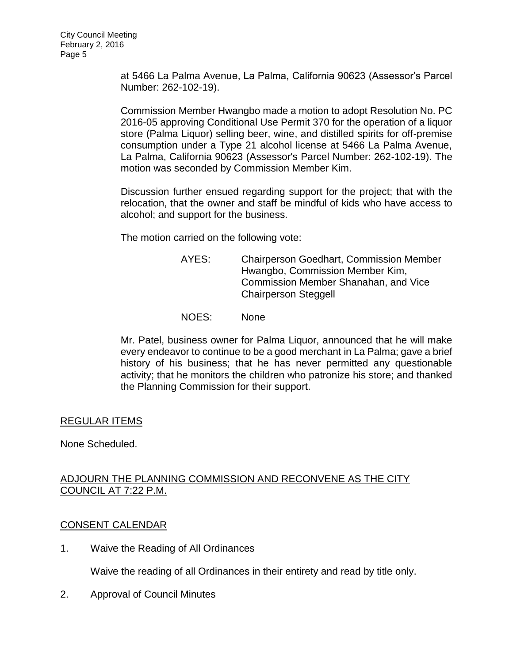[at 5466 La Palma Avenue, La Palma, California 90623 \(Assessor's Parcel](http://lapalma.granicus.com/MediaPlayer.php?view_id=&clip_id=968&meta_id=129188)  [Number: 262-102-19\).](http://lapalma.granicus.com/MediaPlayer.php?view_id=&clip_id=968&meta_id=129188)

Commission Member Hwangbo made a motion to adopt Resolution No. PC 2016-05 approving Conditional Use Permit 370 for the operation of a liquor store (Palma Liquor) selling beer, wine, and distilled spirits for off-premise consumption under a Type 21 alcohol license at 5466 La Palma Avenue, La Palma, California 90623 (Assessor's Parcel Number: 262-102-19). The motion was seconded by Commission Member Kim.

Discussion further ensued regarding support for the project; that with the relocation, that the owner and staff be mindful of kids who have access to alcohol; and support for the business.

The motion carried on the following vote:

- AYES: Chairperson Goedhart, Commission Member Hwangbo, Commission Member Kim, Commission Member Shanahan, and Vice Chairperson Steggell
- NOES: None

Mr. Patel, business owner for Palma Liquor, announced that he will make every endeavor to continue to be a good merchant in La Palma; gave a brief history of his business; that he has never permitted any questionable activity; that he monitors the children who patronize his store; and thanked the Planning Commission for their support.

# REGULAR ITEMS

None Scheduled.

# ADJOURN THE PLANNING COMMISSION AND RECONVENE AS THE CITY [COUNCIL AT 7:22 P.M.](http://lapalma.granicus.com/MediaPlayer.php?view_id=&clip_id=968&meta_id=129202)

# [CONSENT CALENDAR](http://lapalma.granicus.com/MediaPlayer.php?view_id=&clip_id=968&meta_id=129203)

1. Waive the Reading of All Ordinances

Waive the reading of all Ordinances in their entirety and read by title only.

2. Approval of Council Minutes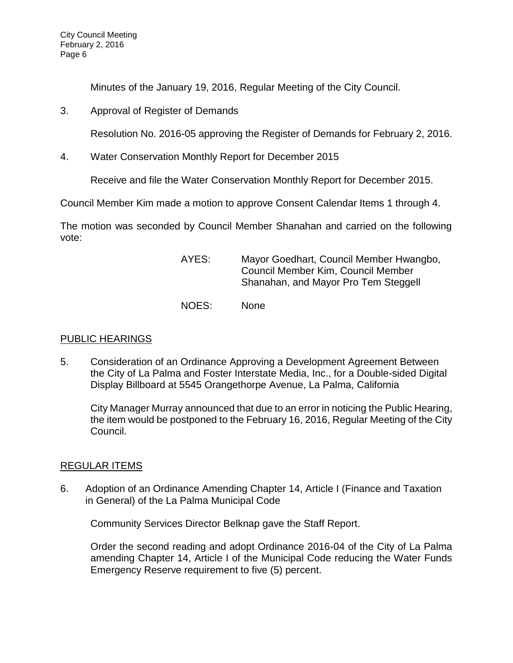Minutes of the January 19, 2016, Regular Meeting of the City Council.

3. Approval of Register of Demands

Resolution No. 2016-05 approving the Register of Demands for February 2, 2016.

4. Water Conservation Monthly Report for December 2015

Receive and file the Water Conservation Monthly Report for December 2015.

Council Member Kim made a motion to approve Consent Calendar Items 1 through 4.

The motion was seconded by Council Member Shanahan and carried on the following vote:

| AYES: | Mayor Goedhart, Council Member Hwangbo,<br>Council Member Kim, Council Member<br>Shanahan, and Mayor Pro Tem Steggell |
|-------|-----------------------------------------------------------------------------------------------------------------------|
| NOES: | <b>None</b>                                                                                                           |

# [PUBLIC HEARINGS](http://lapalma.granicus.com/MediaPlayer.php?view_id=&clip_id=968&meta_id=129212)

5. Consideration of an Ordinance Approving a Development Agreement Between the City of La Palma and Foster Interstate Media, Inc., for a Double-sided Digital Display Billboard at 5545 Orangethorpe Avenue, La Palma, California

City Manager Murray announced that due to an error in noticing the Public Hearing, the item would be postponed to the February 16, 2016, Regular Meeting of the City Council.

# [REGULAR ITEMS](http://lapalma.granicus.com/MediaPlayer.php?view_id=&clip_id=968&meta_id=129221)

6. [Adoption of an Ordinance Amending Chapter 14, Article I \(Finance and Taxation](http://lapalma.granicus.com/MediaPlayer.php?view_id=&clip_id=968&meta_id=129222)  [in General\) of the La Palma Municipal Code](http://lapalma.granicus.com/MediaPlayer.php?view_id=&clip_id=968&meta_id=129222)

Community Services Director Belknap gave the Staff Report.

Order the second reading and adopt Ordinance 2016-04 of the City of La Palma amending Chapter 14, Article I of the Municipal Code reducing the Water Funds Emergency Reserve requirement to five (5) percent.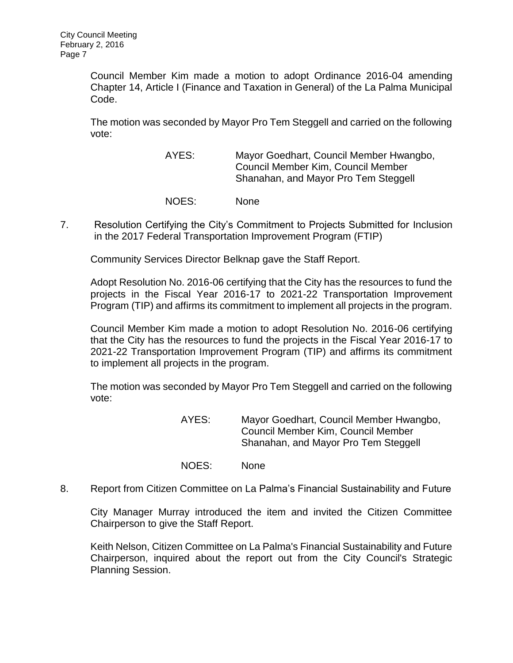Council Member Kim made a motion to adopt Ordinance 2016-04 amending Chapter 14, Article I (Finance and Taxation in General) of the La Palma Municipal Code.

The motion was seconded by Mayor Pro Tem Steggell and carried on the following vote:

> AYES: Mayor Goedhart, Council Member Hwangbo, Council Member Kim, Council Member Shanahan, and Mayor Pro Tem Steggell

- NOES: None
- 7. [Resolution Certifying the City's Commitment to Projects Submitted for Inclusion](http://lapalma.granicus.com/MediaPlayer.php?view_id=&clip_id=968&meta_id=129225)  [in the 2017 Federal Transportation Improvement Program \(FTIP\)](http://lapalma.granicus.com/MediaPlayer.php?view_id=&clip_id=968&meta_id=129225)

Community Services Director Belknap gave the Staff Report.

Adopt Resolution No. 2016-06 certifying that the City has the resources to fund the projects in the Fiscal Year 2016-17 to 2021-22 Transportation Improvement Program (TIP) and affirms its commitment to implement all projects in the program.

Council Member Kim made a motion to adopt Resolution No. 2016-06 certifying that the City has the resources to fund the projects in the Fiscal Year 2016-17 to 2021-22 Transportation Improvement Program (TIP) and affirms its commitment to implement all projects in the program.

The motion was seconded by Mayor Pro Tem Steggell and carried on the following vote:

> AYES: Mayor Goedhart, Council Member Hwangbo, Council Member Kim, Council Member Shanahan, and Mayor Pro Tem Steggell

- NOES: None
- 8. [Report from Citizen Committee on La Palma's Financial Sustainability and Future](http://lapalma.granicus.com/MediaPlayer.php?view_id=&clip_id=968&meta_id=129228)

City Manager Murray introduced the item and invited the Citizen Committee Chairperson to give the Staff Report.

Keith Nelson, Citizen Committee on La Palma's Financial Sustainability and Future Chairperson, inquired about the report out from the City Council's Strategic Planning Session.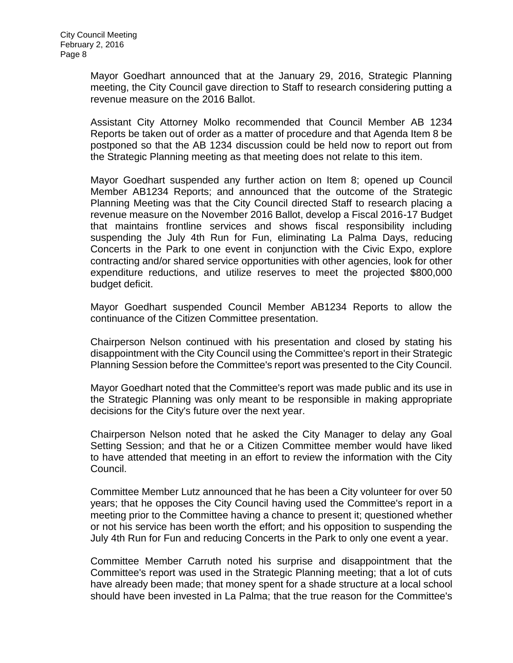Mayor Goedhart announced that at the January 29, 2016, Strategic Planning meeting, the City Council gave direction to Staff to research considering putting a revenue measure on the 2016 Ballot.

Assistant City Attorney Molko recommended that Council Member AB 1234 Reports be taken out of order as a matter of procedure and that Agenda Item 8 be postponed so that the AB 1234 discussion could be held now to report out from the Strategic Planning meeting as that meeting does not relate to this item.

Mayor Goedhart suspended any further action on Item 8; opened up Council Member AB1234 Reports; and announced that the outcome of the Strategic Planning Meeting was that the City Council directed Staff to research placing a revenue measure on the November 2016 Ballot, develop a Fiscal 2016-17 Budget that maintains frontline services and shows fiscal responsibility including suspending the July 4th Run for Fun, eliminating La Palma Days, reducing Concerts in the Park to one event in conjunction with the Civic Expo, explore contracting and/or shared service opportunities with other agencies, look for other expenditure reductions, and utilize reserves to meet the projected \$800,000 budget deficit.

Mayor Goedhart suspended Council Member AB1234 Reports to allow the continuance of the Citizen Committee presentation.

Chairperson Nelson continued with his presentation and closed by stating his disappointment with the City Council using the Committee's report in their Strategic Planning Session before the Committee's report was presented to the City Council.

Mayor Goedhart noted that the Committee's report was made public and its use in the Strategic Planning was only meant to be responsible in making appropriate decisions for the City's future over the next year.

Chairperson Nelson noted that he asked the City Manager to delay any Goal Setting Session; and that he or a Citizen Committee member would have liked to have attended that meeting in an effort to review the information with the City Council.

Committee Member Lutz announced that he has been a City volunteer for over 50 years; that he opposes the City Council having used the Committee's report in a meeting prior to the Committee having a chance to present it; questioned whether or not his service has been worth the effort; and his opposition to suspending the July 4th Run for Fun and reducing Concerts in the Park to only one event a year.

Committee Member Carruth noted his surprise and disappointment that the Committee's report was used in the Strategic Planning meeting; that a lot of cuts have already been made; that money spent for a shade structure at a local school should have been invested in La Palma; that the true reason for the Committee's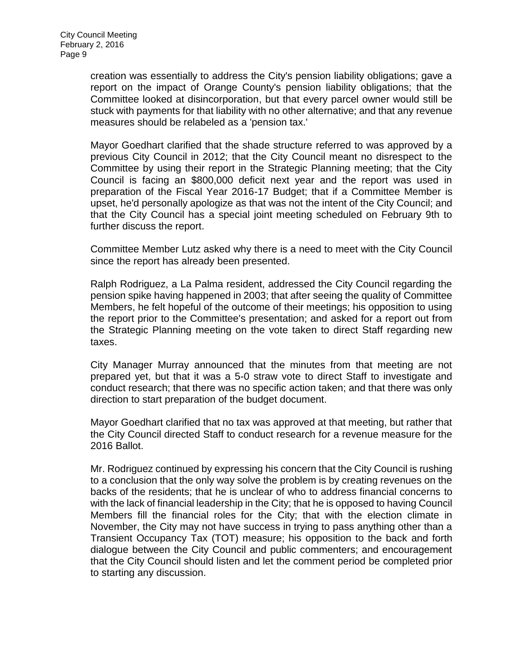creation was essentially to address the City's pension liability obligations; gave a report on the impact of Orange County's pension liability obligations; that the Committee looked at disincorporation, but that every parcel owner would still be stuck with payments for that liability with no other alternative; and that any revenue measures should be relabeled as a 'pension tax.'

Mayor Goedhart clarified that the shade structure referred to was approved by a previous City Council in 2012; that the City Council meant no disrespect to the Committee by using their report in the Strategic Planning meeting; that the City Council is facing an \$800,000 deficit next year and the report was used in preparation of the Fiscal Year 2016-17 Budget; that if a Committee Member is upset, he'd personally apologize as that was not the intent of the City Council; and that the City Council has a special joint meeting scheduled on February 9th to further discuss the report.

Committee Member Lutz asked why there is a need to meet with the City Council since the report has already been presented.

Ralph Rodriguez, a La Palma resident, addressed the City Council regarding the pension spike having happened in 2003; that after seeing the quality of Committee Members, he felt hopeful of the outcome of their meetings; his opposition to using the report prior to the Committee's presentation; and asked for a report out from the Strategic Planning meeting on the vote taken to direct Staff regarding new taxes.

City Manager Murray announced that the minutes from that meeting are not prepared yet, but that it was a 5-0 straw vote to direct Staff to investigate and conduct research; that there was no specific action taken; and that there was only direction to start preparation of the budget document.

Mayor Goedhart clarified that no tax was approved at that meeting, but rather that the City Council directed Staff to conduct research for a revenue measure for the 2016 Ballot.

Mr. Rodriguez continued by expressing his concern that the City Council is rushing to a conclusion that the only way solve the problem is by creating revenues on the backs of the residents; that he is unclear of who to address financial concerns to with the lack of financial leadership in the City; that he is opposed to having Council Members fill the financial roles for the City; that with the election climate in November, the City may not have success in trying to pass anything other than a Transient Occupancy Tax (TOT) measure; his opposition to the back and forth dialogue between the City Council and public commenters; and encouragement that the City Council should listen and let the comment period be completed prior to starting any discussion.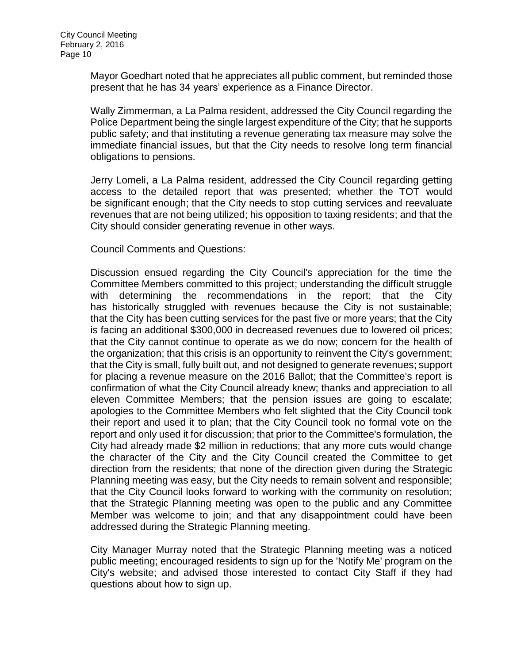Mayor Goedhart noted that he appreciates all public comment, but reminded those present that he has 34 years' experience as a Finance Director.

Wally Zimmerman, a La Palma resident, addressed the City Council regarding the Police Department being the single largest expenditure of the City; that he supports public safety; and that instituting a revenue generating tax measure may solve the immediate financial issues, but that the City needs to resolve long term financial obligations to pensions.

Jerry Lomeli, a La Palma resident, addressed the City Council regarding getting access to the detailed report that was presented; whether the TOT would be significant enough; that the City needs to stop cutting services and reevaluate revenues that are not being utilized; his opposition to taxing residents; and that the City should consider generating revenue in other ways.

Council Comments and Questions:

Discussion ensued regarding the City Council's appreciation for the time the Committee Members committed to this project; understanding the difficult struggle with determining the recommendations in the report; that the City has historically struggled with revenues because the City is not sustainable; that the City has been cutting services for the past five or more years; that the City is facing an additional \$300,000 in decreased revenues due to lowered oil prices; that the City cannot continue to operate as we do now; concern for the health of the organization; that this crisis is an opportunity to reinvent the City's government; that the City is small, fully built out, and not designed to generate revenues; support for placing a revenue measure on the 2016 Ballot; that the Committee's report is confirmation of what the City Council already knew; thanks and appreciation to all eleven Committee Members; that the pension issues are going to escalate; apologies to the Committee Members who felt slighted that the City Council took their report and used it to plan; that the City Council took no formal vote on the report and only used it for discussion; that prior to the Committee's formulation, the City had already made \$2 million in reductions; that any more cuts would change the character of the City and the City Council created the Committee to get direction from the residents; that none of the direction given during the Strategic Planning meeting was easy, but the City needs to remain solvent and responsible; that the City Council looks forward to working with the community on resolution; that the Strategic Planning meeting was open to the public and any Committee Member was welcome to join; and that any disappointment could have been addressed during the Strategic Planning meeting.

City Manager Murray noted that the Strategic Planning meeting was a noticed public meeting; encouraged residents to sign up for the 'Notify Me' program on the City's website; and advised those interested to contact City Staff if they had questions about how to sign up.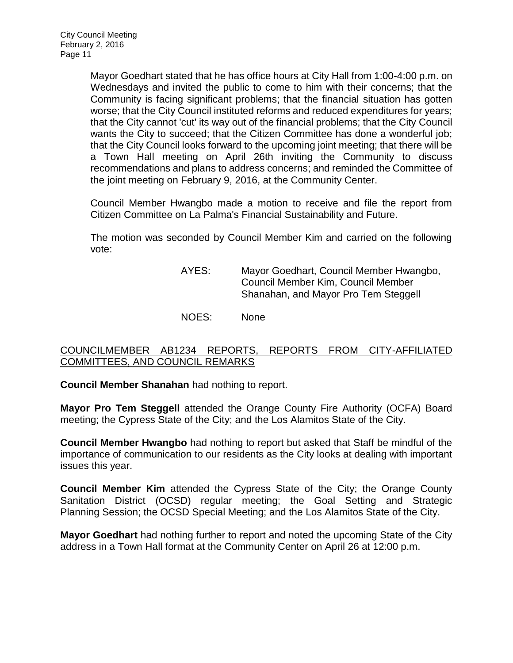Mayor Goedhart stated that he has office hours at City Hall from 1:00-4:00 p.m. on Wednesdays and invited the public to come to him with their concerns; that the Community is facing significant problems; that the financial situation has gotten worse; that the City Council instituted reforms and reduced expenditures for years; that the City cannot 'cut' its way out of the financial problems; that the City Council wants the City to succeed; that the Citizen Committee has done a wonderful job; that the City Council looks forward to the upcoming joint meeting; that there will be a Town Hall meeting on April 26th inviting the Community to discuss recommendations and plans to address concerns; and reminded the Committee of the joint meeting on February 9, 2016, at the Community Center.

Council Member Hwangbo made a motion to receive and file the report from Citizen Committee on La Palma's Financial Sustainability and Future.

The motion was seconded by Council Member Kim and carried on the following vote:

> AYES: Mayor Goedhart, Council Member Hwangbo, Council Member Kim, Council Member Shanahan, and Mayor Pro Tem Steggell

NOES: None

# [COUNCILMEMBER AB1234 REPORTS, REPORTS FROM CITY-AFFILIATED](http://lapalma.granicus.com/MediaPlayer.php?view_id=&clip_id=968&meta_id=129257)  [COMMITTEES, AND COUNCIL REMARKS](http://lapalma.granicus.com/MediaPlayer.php?view_id=&clip_id=968&meta_id=129257)

**Council Member Shanahan** had nothing to report.

**Mayor Pro Tem Steggell** attended the Orange County Fire Authority (OCFA) Board meeting; the Cypress State of the City; and the Los Alamitos State of the City.

**Council Member Hwangbo** had nothing to report but asked that Staff be mindful of the importance of communication to our residents as the City looks at dealing with important issues this year.

**Council Member Kim** attended the Cypress State of the City; the Orange County Sanitation District (OCSD) regular meeting; the Goal Setting and Strategic Planning Session; the OCSD Special Meeting; and the Los Alamitos State of the City.

**Mayor Goedhart** had nothing further to report and noted the upcoming State of the City address in a Town Hall format at the Community Center on April 26 at 12:00 p.m.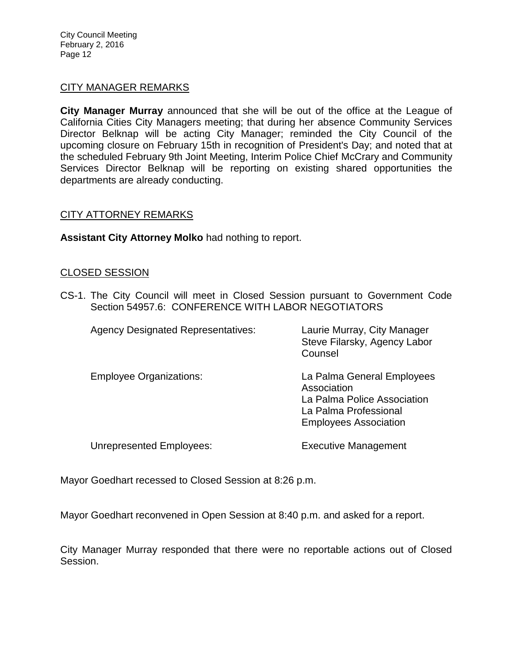City Council Meeting February 2, 2016 Page 12

#### [CITY MANAGER REMARKS](http://lapalma.granicus.com/MediaPlayer.php?view_id=&clip_id=968&meta_id=129263)

**City Manager Murray** announced that she will be out of the office at the League of California Cities City Managers meeting; that during her absence Community Services Director Belknap will be acting City Manager; reminded the City Council of the upcoming closure on February 15th in recognition of President's Day; and noted that at the scheduled February 9th Joint Meeting, Interim Police Chief McCrary and Community Services Director Belknap will be reporting on existing shared opportunities the departments are already conducting.

# [CITY ATTORNEY REMARKS](http://lapalma.granicus.com/MediaPlayer.php?view_id=&clip_id=968&meta_id=129281)

**Assistant City Attorney Molko** had nothing to report.

#### [CLOSED SESSION](http://lapalma.granicus.com/MediaPlayer.php?view_id=&clip_id=968&meta_id=129265)

CS-1. [The City Council will meet in Closed Session pursuant to Government Code](http://lapalma.granicus.com/MediaPlayer.php?view_id=&clip_id=968&meta_id=129266)  Section 54957.6: [CONFERENCE WITH LABOR NEGOTIATORS](http://lapalma.granicus.com/MediaPlayer.php?view_id=&clip_id=968&meta_id=129266)

| <b>Agency Designated Representatives:</b> | Laurie Murray, City Manager<br>Steve Filarsky, Agency Labor<br>Counsel                                                            |
|-------------------------------------------|-----------------------------------------------------------------------------------------------------------------------------------|
| <b>Employee Organizations:</b>            | La Palma General Employees<br>Association<br>La Palma Police Association<br>La Palma Professional<br><b>Employees Association</b> |
| <b>Unrepresented Employees:</b>           | <b>Executive Management</b>                                                                                                       |

Mayor Goedhart recessed to Closed Session at 8:26 p.m.

Mayor Goedhart reconvened in Open Session at 8:40 p.m. and asked for a report.

City Manager Murray responded that there were no reportable actions out of Closed Session.